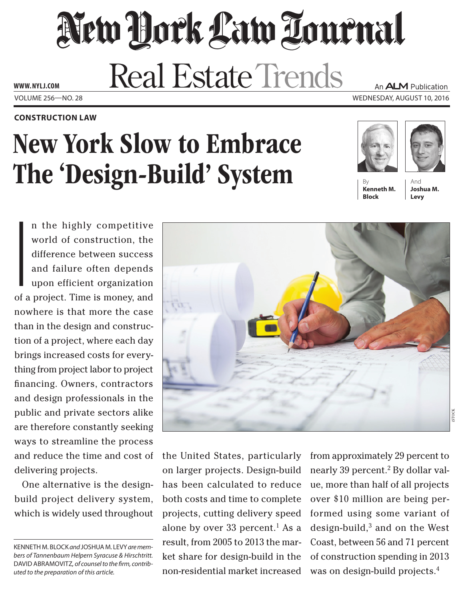## New York Law Tournal **Real Estate Trends** An **ALM** Publication

Volume 256—NO. 28 Wednesday, August 10, 2016 **www. NYLJ.com**

#### **construction Law**

# New York Slow to Embrace The 'Design-Build' System





**Kenneth M. Block**

And **Joshua M. Levy**

I<br>I<br>Of a world of construction, the difference between success and failure often depends upon efficient organization of a project. Time is money, and nowhere is that more the case than in the design and construction of a project, where each day brings increased costs for everything from project labor to project financing. Owners, contractors and design professionals in the public and private sectors alike are therefore constantly seeking ways to streamline the process and reduce the time and cost of delivering projects.

One alternative is the designbuild project delivery system, which is widely used throughout



the United States, particularly on larger projects. Design-build has been calculated to reduce both costs and time to complete projects, cutting delivery speed alone by over 33 percent.<sup>1</sup> As a result, from 2005 to 2013 the market share for design-build in the non-residential market increased from approximately 29 percent to nearly 39 percent.<sup>2</sup> By dollar value, more than half of all projects over \$10 million are being performed using some variant of design-build,3 and on the West Coast, between 56 and 71 percent of construction spending in 2013 was on design-build projects.<sup>4</sup>

Kenneth M. Block *and* Joshua M. Levy *are members of Tannenbaum Helpern Syracuse & Hirschtritt.*  David Abramovitz*, of counsel to the firm, contributed to the preparation of this article.*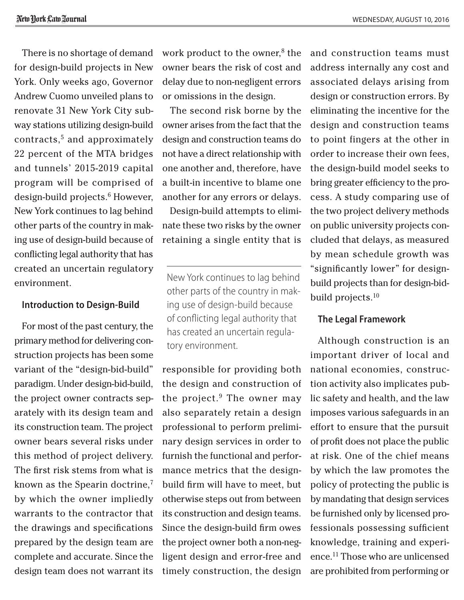There is no shortage of demand for design-build projects in New York. Only weeks ago, Governor Andrew Cuomo unveiled plans to renovate 31 New York City subway stations utilizing design-build contracts,5 and approximately 22 percent of the MTA bridges and tunnels' 2015-2019 capital program will be comprised of design-build projects.<sup>6</sup> However, New York continues to lag behind other parts of the country in making use of design-build because of conflicting legal authority that has created an uncertain regulatory environment.

### **Introduction to Design-Build**

For most of the past century, the primary method for delivering construction projects has been some variant of the "design-bid-build" paradigm. Under design-bid-build, the project owner contracts separately with its design team and its construction team. The project owner bears several risks under this method of project delivery. The first risk stems from what is known as the Spearin doctrine,<sup>7</sup> by which the owner impliedly warrants to the contractor that the drawings and specifications prepared by the design team are complete and accurate. Since the design team does not warrant its

work product to the owner,<sup>8</sup> the owner bears the risk of cost and delay due to non-negligent errors or omissions in the design.

The second risk borne by the owner arises from the fact that the design and construction teams do not have a direct relationship with one another and, therefore, have a built-in incentive to blame one another for any errors or delays.

Design-build attempts to eliminate these two risks by the owner retaining a single entity that is

New York continues to lag behind other parts of the country in making use of design-build because of conflicting legal authority that has created an uncertain regulatory environment.

responsible for providing both the design and construction of the project. $9$  The owner may also separately retain a design professional to perform preliminary design services in order to furnish the functional and performance metrics that the designbuild firm will have to meet, but otherwise steps out from between its construction and design teams. Since the design-build firm owes the project owner both a non-negligent design and error-free and timely construction, the design and construction teams must address internally any cost and associated delays arising from design or construction errors. By eliminating the incentive for the design and construction teams to point fingers at the other in order to increase their own fees, the design-build model seeks to bring greater efficiency to the process. A study comparing use of the two project delivery methods on public university projects concluded that delays, as measured by mean schedule growth was "significantly lower" for designbuild projects than for design-bidbuild projects.<sup>10</sup>

### **The Legal Framework**

Although construction is an important driver of local and national economies, construction activity also implicates public safety and health, and the law imposes various safeguards in an effort to ensure that the pursuit of profit does not place the public at risk. One of the chief means by which the law promotes the policy of protecting the public is by mandating that design services be furnished only by licensed professionals possessing sufficient knowledge, training and experience.11 Those who are unlicensed are prohibited from performing or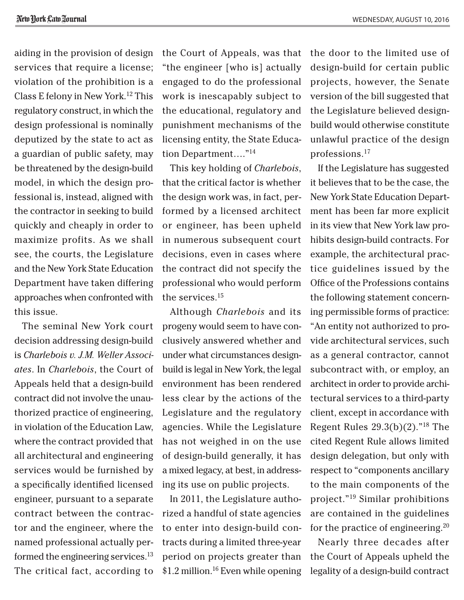aiding in the provision of design services that require a license; violation of the prohibition is a Class E felony in New York.12 This regulatory construct, in which the design professional is nominally deputized by the state to act as a guardian of public safety, may be threatened by the design-build model, in which the design professional is, instead, aligned with the contractor in seeking to build quickly and cheaply in order to maximize profits. As we shall see, the courts, the Legislature and the New York State Education Department have taken differing approaches when confronted with this issue.

The seminal New York court decision addressing design-build is *[Charlebois v. J.M. Weller Associ](Cite: 72 N.Y.2d 587)[ates](Cite: 72 N.Y.2d 587)*. In *Charlebois*, the Court of Appeals held that a design-build contract did not involve the unauthorized practice of engineering, in violation of the Education Law, where the contract provided that all architectural and engineering services would be furnished by a specifically identified licensed engineer, pursuant to a separate contract between the contractor and the engineer, where the named professional actually performed the engineering services.<sup>13</sup> The critical fact, according to the Court of Appeals, was that "the engineer [who is] actually engaged to do the professional work is inescapably subject to the educational, regulatory and punishment mechanisms of the licensing entity, the State Education Department…."14

This key holding of *Charlebois*, that the critical factor is whether the design work was, in fact, performed by a licensed architect or engineer, has been upheld in numerous subsequent court decisions, even in cases where the contract did not specify the professional who would perform the services.15

Although *Charlebois* and its progeny would seem to have conclusively answered whether and under what circumstances designbuild is legal in New York, the legal environment has been rendered less clear by the actions of the Legislature and the regulatory agencies. While the Legislature has not weighed in on the use of design-build generally, it has a mixed legacy, at best, in addressing its use on public projects.

In 2011, the Legislature authorized a handful of state agencies to enter into design-build contracts during a limited three-year period on projects greater than \$1.2 million.16 Even while opening the door to the limited use of design-build for certain public projects, however, the Senate version of the bill suggested that the Legislature believed designbuild would otherwise constitute unlawful practice of the design professions.17

If the Legislature has suggested it believes that to be the case, the New York State Education Department has been far more explicit in its view that New York law prohibits design-build contracts. For example, the architectural practice guidelines issued by the Office of the Professions contains the following statement concerning permissible forms of practice: "An entity not authorized to provide architectural services, such as a general contractor, cannot subcontract with, or employ, an architect in order to provide architectural services to a third-party client, except in accordance with Regent Rules 29.3(b)(2)."18 The cited Regent Rule allows limited design delegation, but only with respect to "components ancillary to the main components of the project."19 Similar prohibitions are contained in the guidelines for the practice of engineering. $20$ 

Nearly three decades after the Court of Appeals upheld the legality of a design-build contract